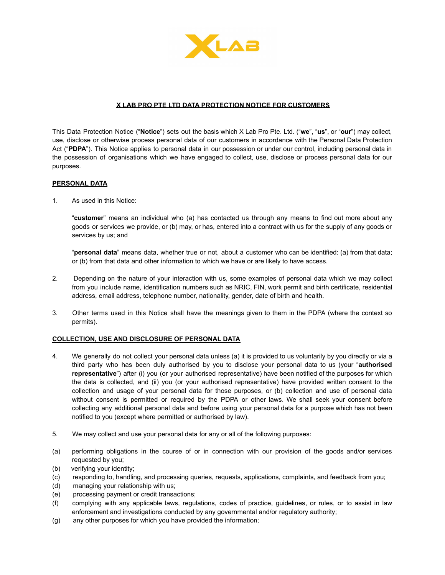

## **X LAB PRO PTE LTD DATA PROTECTION NOTICE FOR CUSTOMERS**

This Data Protection Notice ("**Notice**") sets out the basis which X Lab Pro Pte. Ltd. ("**we**", "**us**", or "**our**") may collect, use, disclose or otherwise process personal data of our customers in accordance with the Personal Data Protection Act ("**PDPA**"). This Notice applies to personal data in our possession or under our control, including personal data in the possession of organisations which we have engaged to collect, use, disclose or process personal data for our purposes.

#### **PERSONAL DATA**

1. As used in this Notice:

"**customer**" means an individual who (a) has contacted us through any means to find out more about any goods or services we provide, or (b) may, or has, entered into a contract with us for the supply of any goods or services by us; and

"**personal data**" means data, whether true or not, about a customer who can be identified: (a) from that data; or (b) from that data and other information to which we have or are likely to have access.

- 2. Depending on the nature of your interaction with us, some examples of personal data which we may collect from you include name, identification numbers such as NRIC, FIN, work permit and birth certificate, residential address, email address, telephone number, nationality, gender, date of birth and health.
- 3. Other terms used in this Notice shall have the meanings given to them in the PDPA (where the context so permits).

#### **COLLECTION, USE AND DISCLOSURE OF PERSONAL DATA**

- 4. We generally do not collect your personal data unless (a) it is provided to us voluntarily by you directly or via a third party who has been duly authorised by you to disclose your personal data to us (your "**authorised representative**") after (i) you (or your authorised representative) have been notified of the purposes for which the data is collected, and (ii) you (or your authorised representative) have provided written consent to the collection and usage of your personal data for those purposes, or (b) collection and use of personal data without consent is permitted or required by the PDPA or other laws. We shall seek your consent before collecting any additional personal data and before using your personal data for a purpose which has not been notified to you (except where permitted or authorised by law).
- 5. We may collect and use your personal data for any or all of the following purposes:
- (a) performing obligations in the course of or in connection with our provision of the goods and/or services requested by you;
- (b) verifying your identity;
- (c) responding to, handling, and processing queries, requests, applications, complaints, and feedback from you;
- (d) managing your relationship with us;
- (e) processing payment or credit transactions;
- (f) complying with any applicable laws, regulations, codes of practice, guidelines, or rules, or to assist in law enforcement and investigations conducted by any governmental and/or regulatory authority;
- (g) any other purposes for which you have provided the information;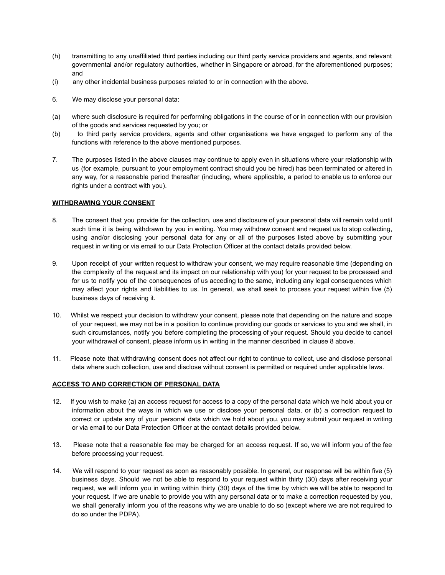- (h) transmitting to any unaffiliated third parties including our third party service providers and agents, and relevant governmental and/or regulatory authorities, whether in Singapore or abroad, for the aforementioned purposes; and
- (i) any other incidental business purposes related to or in connection with the above.
- 6. We may disclose your personal data:
- (a) where such disclosure is required for performing obligations in the course of or in connection with our provision of the goods and services requested by you; or
- (b) to third party service providers, agents and other organisations we have engaged to perform any of the functions with reference to the above mentioned purposes.
- 7. The purposes listed in the above clauses may continue to apply even in situations where your relationship with us (for example, pursuant to your employment contract should you be hired) has been terminated or altered in any way, for a reasonable period thereafter (including, where applicable, a period to enable us to enforce our rights under a contract with you).

## **WITHDRAWING YOUR CONSENT**

- 8. The consent that you provide for the collection, use and disclosure of your personal data will remain valid until such time it is being withdrawn by you in writing. You may withdraw consent and request us to stop collecting, using and/or disclosing your personal data for any or all of the purposes listed above by submitting your request in writing or via email to our Data Protection Officer at the contact details provided below.
- 9. Upon receipt of your written request to withdraw your consent, we may require reasonable time (depending on the complexity of the request and its impact on our relationship with you) for your request to be processed and for us to notify you of the consequences of us acceding to the same, including any legal consequences which may affect your rights and liabilities to us. In general, we shall seek to process your request within five (5) business days of receiving it.
- 10. Whilst we respect your decision to withdraw your consent, please note that depending on the nature and scope of your request, we may not be in a position to continue providing our goods or services to you and we shall, in such circumstances, notify you before completing the processing of your request. Should you decide to cancel your withdrawal of consent, please inform us in writing in the manner described in clause 8 above.
- 11. Please note that withdrawing consent does not affect our right to continue to collect, use and disclose personal data where such collection, use and disclose without consent is permitted or required under applicable laws.

### **ACCESS TO AND CORRECTION OF PERSONAL DATA**

- 12. If you wish to make (a) an access request for access to a copy of the personal data which we hold about you or information about the ways in which we use or disclose your personal data, or (b) a correction request to correct or update any of your personal data which we hold about you, you may submit your request in writing or via email to our Data Protection Officer at the contact details provided below.
- 13. Please note that a reasonable fee may be charged for an access request. If so, we will inform you of the fee before processing your request.
- 14. We will respond to your request as soon as reasonably possible. In general, our response will be within five (5) business days. Should we not be able to respond to your request within thirty (30) days after receiving your request, we will inform you in writing within thirty (30) days of the time by which we will be able to respond to your request. If we are unable to provide you with any personal data or to make a correction requested by you, we shall generally inform you of the reasons why we are unable to do so (except where we are not required to do so under the PDPA).